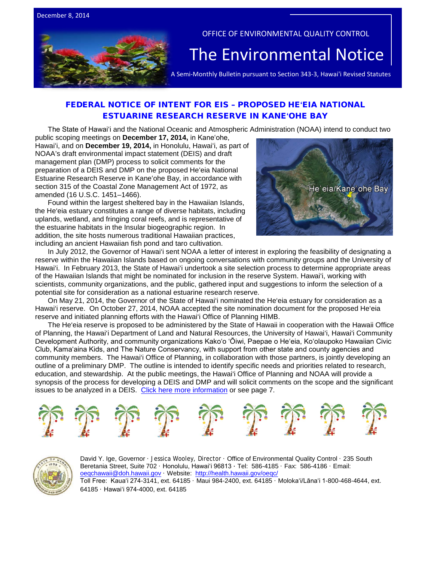

## OFFICE OF ENVIRONMENTAL QUALITY CONTROL

# The Environmental Notice  $|\textrm{A semi-Monthly Bulletin pursuit to Section 343-3, Hawaii Revised Statutes}$

## [FEDERAL NOTICE OF INTENT FOR EIS –](http://www.gpo.gov/fdsys/pkg/FR-2014-11-24/pdf/2014-27729.pdf) PROPOSED HE**ʻ**EIA NATIONAL [ESTUARINE RESEARCH RESERVE IN KANE](http://www.gpo.gov/fdsys/pkg/FR-2014-11-24/pdf/2014-27729.pdf)**ʻ**OHE BAY

The State of Hawaiʻi and the National Oceanic and Atmospheric Administration (NOAA) intend to conduct two

public scoping meetings on **December 17, 2014,** in Kaneʻohe, Hawaiʻi, and on **December 19, 2014,** in Honolulu, Hawaiʻi, as part of NOAA's draft environmental impact statement (DEIS) and draft management plan (DMP) process to solicit comments for the preparation of a DEIS and DMP on the proposed Heʻeia National Estuarine Research Reserve in Kaneʻohe Bay, in accordance with section 315 of the Coastal Zone Management Act of 1972, as amended (16 U.S.C. 1451–1466).

Found within the largest sheltered bay in the Hawaiian Islands, the He'eia estuary constitutes a range of diverse habitats, including uplands, wetland, and fringing coral reefs, and is representative of the estuarine habitats in the Insular biogeographic region. In addition, the site hosts numerous traditional Hawaiian practices, including an ancient Hawaiian fish pond and taro cultivation.



In July 2012, the Governor of Hawai'i sent NOAA a letter of interest in exploring the feasibility of designating a reserve within the Hawaiian Islands based on ongoing conversations with community groups and the University of Hawai'i. In February 2013, the State of Hawai'i undertook a site selection process to determine appropriate areas of the Hawaiian Islands that might be nominated for inclusion in the reserve System. Hawai'i, working with scientists, community organizations, and the public, gathered input and suggestions to inform the selection of a potential site for consideration as a national estuarine research reserve.

On May 21, 2014, the Governor of the State of Hawai'i nominated the He'eia estuary for consideration as a Hawai'i reserve. On October 27, 2014, NOAA accepted the site nomination document for the proposed He'eia reserve and initiated planning efforts with the Hawai'i Office of Planning HIMB.

The He'eia reserve is proposed to be administered by the State of Hawaii in cooperation with the Hawaii Office of Planning, the Hawai'i Department of Land and Natural Resources, the University of Hawai'i, Hawai'i Community Development Authority, and community organizations Kako'o 'Ōiwi, Paepae o He'eia, Ko'olaupoko Hawaiian Civic Club, Kamaʻaina Kids, and The Nature Conservancy, with support from other state and county agencies and community members. The Hawai'i Office of Planning, in collaboration with those partners, is jointly developing an outline of a preliminary DMP. The outline is intended to identify specific needs and priorities related to research, education, and stewardship. At the public meetings, the Hawai'i Office of Planning and NOAA will provide a synopsis of the process for developing a DEIS and DMP and will solicit comments on the scope and the significant issues to be analyzed in a DEIS. [Click here more information](http://www.gpo.gov/fdsys/pkg/FR-2014-11-24/pdf/2014-27729.pdf) or see page 7.





David Y. Ige, Governor · Jessica Wooley, Director · Office of Environmental Quality Control · 235 South Beretania Street, Suite 702 · Honolulu, Hawaiʻi 96813 ∙ Tel: 586-4185 · Fax: 586-4186 · Email: [oeqchawaii@doh.hawaii.gov](mailto:oeqchawaii@doh.hawaii.gov) · Website:<http://health.hawaii.gov/oeqc/> Toll Free: Kauaʻi 274-3141, ext. 64185 · Maui 984-2400, ext. 64185 · Molokaʻi/Lānaʻi 1-800-468-4644, ext. 64185 · Hawaiʻi 974-4000, ext. 64185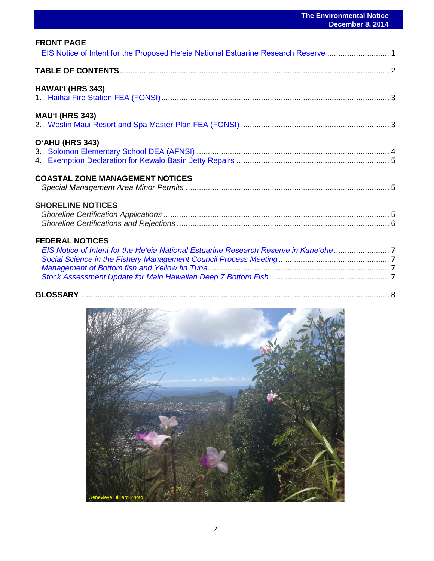| <b>FRONT PAGE</b><br>EIS Notice of Intent for the Proposed He'eia National Estuarine Research Reserve  1      |  |
|---------------------------------------------------------------------------------------------------------------|--|
|                                                                                                               |  |
| <b>HAWAI'I (HRS 343)</b>                                                                                      |  |
| <b>MAU'I (HRS 343)</b>                                                                                        |  |
| O'AHU (HRS 343)                                                                                               |  |
| <b>COASTAL ZONE MANAGEMENT NOTICES</b>                                                                        |  |
| <b>SHORELINE NOTICES</b>                                                                                      |  |
| <b>FEDERAL NOTICES</b><br>EIS Notice of Intent for the He'eia National Estuarine Research Reserve in Kane'ohe |  |
|                                                                                                               |  |

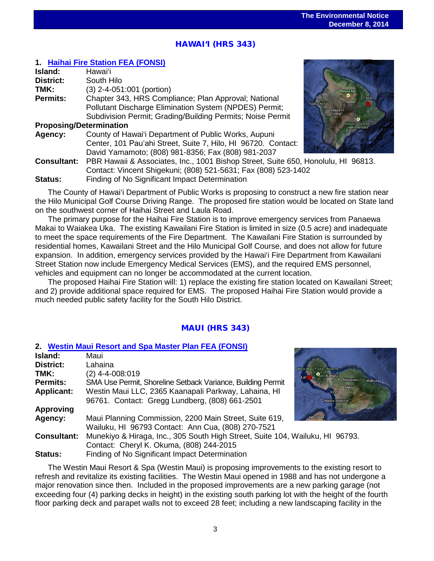## <u>י</u> HAWAI'I (HRS 343)

## **1. [Haihai Fire Station FEA \(FONSI\)](http://oeqc.doh.hawaii.gov/Shared%20Documents/EA_and_EIS_Online_Library/Hawaii/2010s/2014-12-08-HA-5B-FEA-Haihai-Fire-Station.pdf)**

| Island:                        | Hawaiʻi                                                                           |                                 |
|--------------------------------|-----------------------------------------------------------------------------------|---------------------------------|
| <b>District:</b>               | South Hilo                                                                        |                                 |
| TMK:                           | (3) 2-4-051:001 (portion)                                                         | Mauna Ke                        |
| Permits:                       | Chapter 343, HRS Compliance; Plan Approval; National                              |                                 |
|                                | Pollutant Discharge Elimination System (NPDES) Permit;                            | Kailua Kona<br><b>Island</b> of |
|                                | Subdivision Permit; Grading/Building Permits; Noise Permit                        | Hawai'i                         |
| <b>Proposing/Determination</b> |                                                                                   |                                 |
| Agency:                        | County of Hawai'i Department of Public Works, Aupuni                              |                                 |
|                                | Center, 101 Pau'ahi Street, Suite 7, Hilo, HI 96720. Contact:                     |                                 |
|                                | David Yamamoto; (808) 981-8356; Fax (808) 981-2037                                |                                 |
| <b>Consultant:</b>             | PBR Hawaii & Associates, Inc., 1001 Bishop Street, Suite 650, Honolulu, HI 96813. |                                 |
|                                | Contact: Vincent Shigekuni; (808) 521-5631; Fax (808) 523-1402                    |                                 |
| Status:                        | Finding of No Significant Impact Determination                                    |                                 |

The County of Hawai'i Department of Public Works is proposing to construct a new fire station near the Hilo Municipal Golf Course Driving Range. The proposed fire station would be located on State land on the southwest corner of Haihai Street and Laula Road.

The primary purpose for the Haihai Fire Station is to improve emergency services from Panaewa Makai to Waiakea Uka. The existing Kawailani Fire Station is limited in size (0.5 acre) and inadequate to meet the space requirements of the Fire Department. The Kawailani Fire Station is surrounded by residential homes, Kawailani Street and the Hilo Municipal Golf Course, and does not allow for future expansion. In addition, emergency services provided by the Hawai'i Fire Department from Kawailani Street Station now include Emergency Medical Services (EMS), and the required EMS personnel, vehicles and equipment can no longer be accommodated at the current location.

The proposed Haihai Fire Station will: 1) replace the existing fire station located on Kawailani Street; and 2) provide additional space required for EMS. The proposed Haihai Fire Station would provide a much needed public safety facility for the South Hilo District.

## MAUI (HRS 343)

## **2. Westin Maui Resort and Spa [Master Plan FEA \(FONSI\)](http://oeqc.doh.hawaii.gov/Shared%20Documents/EA_and_EIS_Online_Library/Maui/2010s/2014-12-08-MA-5E-FEA-Westin-Maui-Resort-and-Spa-Master-Plan.pdf)**

| Island:            | Maui                                                                          |                                 |
|--------------------|-------------------------------------------------------------------------------|---------------------------------|
| District:          | Lahaina                                                                       | <b>West Maui Forest Reserve</b> |
| TMK:               | (2) 4-4-008:019                                                               | Kahului                         |
| Permits:           | SMA Use Permit, Shoreline Setback Variance, Building Permit                   | Makawao<br>Wailua               |
| <b>Applicant:</b>  | Westin Maui LLC, 2365 Kaanapali Parkway, Lahaina, HI                          | Maui<br>Kihei                   |
|                    | 96761. Contact: Gregg Lundberg, (808) 661-2501                                | Wailea-Makena                   |
| <b>Approving</b>   |                                                                               |                                 |
| <b>Agency:</b>     | Maui Planning Commission, 2200 Main Street, Suite 619,                        | tano olaw                       |
|                    | Wailuku, HI 96793 Contact: Ann Cua, (808) 270-7521                            |                                 |
| <b>Consultant:</b> | Munekiyo & Hiraga, Inc., 305 South High Street, Suite 104, Wailuku, HI 96793. |                                 |
|                    | Contact: Cheryl K. Okuma, (808) 244-2015                                      |                                 |
| <b>Status:</b>     | Finding of No Significant Impact Determination                                |                                 |

The Westin Maui Resort & Spa (Westin Maui) is proposing improvements to the existing resort to refresh and revitalize its existing facilities. The Westin Maui opened in 1988 and has not undergone a major renovation since then. Included in the proposed improvements are a new parking garage (not exceeding four (4) parking decks in height) in the existing south parking lot with the height of the fourth floor parking deck and parapet walls not to exceed 28 feet; including a new landscaping facility in the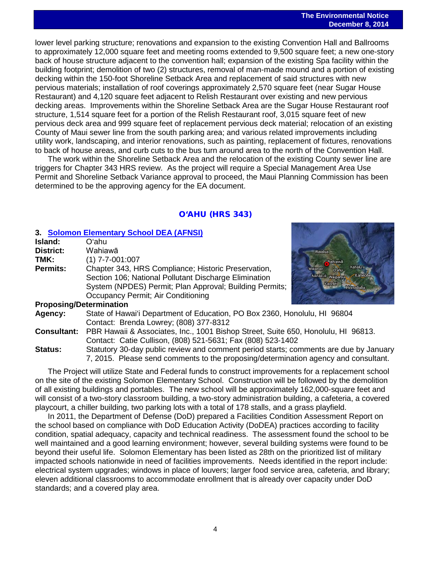lower level parking structure; renovations and expansion to the existing Convention Hall and Ballrooms to approximately 12,000 square feet and meeting rooms extended to 9,500 square feet; a new one-story back of house structure adjacent to the convention hall; expansion of the existing Spa facility within the building footprint; demolition of two (2) structures, removal of man-made mound and a portion of existing decking within the 150-foot Shoreline Setback Area and replacement of said structures with new pervious materials; installation of roof coverings approximately 2,570 square feet (near Sugar House Restaurant) and 4,120 square feet adjacent to Relish Restaurant over existing and new pervious decking areas. Improvements within the Shoreline Setback Area are the Sugar House Restaurant roof structure, 1,514 square feet for a portion of the Relish Restaurant roof, 3,015 square feet of new pervious deck area and 999 square feet of replacement pervious deck material; relocation of an existing County of Maui sewer line from the south parking area; and various related improvements including utility work, landscaping, and interior renovations, such as painting, replacement of fixtures, renovations to back of house areas, and curb cuts to the bus turn around area to the north of the Convention Hall.

The work within the Shoreline Setback Area and the relocation of the existing County sewer line are triggers for Chapter 343 HRS review. As the project will require a Special Management Area Use Permit and Shoreline Setback Variance approval to proceed, the Maui Planning Commission has been determined to be the approving agency for the EA document.

## O'AHU (HRS 343)

## **3. [Solomon Elementary School DEA \(AFNSI\)](http://oeqc.doh.hawaii.gov/Shared%20Documents/EA_and_EIS_Online_Library/Oahu/2010s/2014-12-08-OA-5B-DEA-Solomon-Elementary-School.pdf)**

|      | <b>3. OUIUIIIUII LIUIIIUIIUI Y OUIIUUI DEA (AI NUI)</b>                |                                                         |  |  |
|------|------------------------------------------------------------------------|---------------------------------------------------------|--|--|
|      | Island:                                                                | Oʻahu                                                   |  |  |
|      | District:                                                              | Wahiawā                                                 |  |  |
| TMK: |                                                                        | $(1)$ 7-7-001:007                                       |  |  |
|      | Chapter 343, HRS Compliance; Historic Preservation,<br><b>Permits:</b> |                                                         |  |  |
|      |                                                                        | Section 106; National Pollutant Discharge Elimination   |  |  |
|      |                                                                        | System (NPDES) Permit; Plan Approval; Building Permits; |  |  |
|      |                                                                        | Occupancy Permit; Air Conditioning                      |  |  |
|      | <b>Drangeing/Determination</b>                                         |                                                         |  |  |



#### **Proposing/Determination**

**Agency:** State of Hawai'i Department of Education, PO Box 2360, Honolulu, HI 96804 Contact: Brenda Lowrey; (808) 377-8312

**Consultant:** PBR Hawaii & Associates, Inc., 1001 Bishop Street, Suite 650, Honolulu, HI 96813. Contact: Catie Cullison, (808) 521-5631; Fax (808) 523-1402

**Status:** Statutory 30-day public review and comment period starts; comments are due by January 7, 2015. Please send comments to the proposing/determination agency and consultant.

The Project will utilize State and Federal funds to construct improvements for a replacement school on the site of the existing Solomon Elementary School. Construction will be followed by the demolition of all existing buildings and portables. The new school will be approximately 162,000-square feet and will consist of a two-story classroom building, a two-story administration building, a cafeteria, a covered playcourt, a chiller building, two parking lots with a total of 178 stalls, and a grass playfield.

In 2011, the Department of Defense (DoD) prepared a Facilities Condition Assessment Report on the school based on compliance with DoD Education Activity (DoDEA) practices according to facility condition, spatial adequacy, capacity and technical readiness. The assessment found the school to be well maintained and a good learning environment; however, several building systems were found to be beyond their useful life. Solomon Elementary has been listed as 28th on the prioritized list of military impacted schools nationwide in need of facilities improvements. Needs identified in the report include: electrical system upgrades; windows in place of louvers; larger food service area, cafeteria, and library; eleven additional classrooms to accommodate enrollment that is already over capacity under DoD standards; and a covered play area.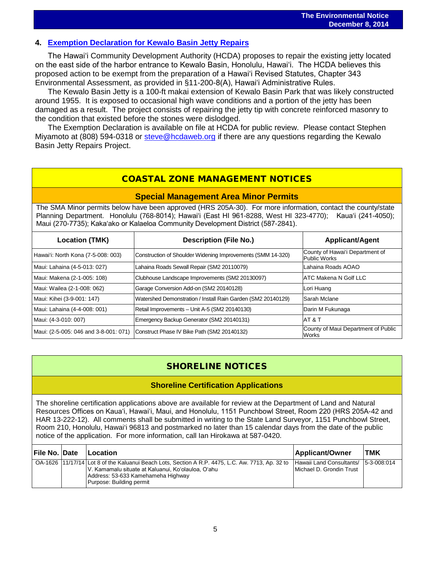## **4. [Exemption Declaration for Kewalo Basin Jetty Repairs](http://oeqc.doh.hawaii.gov/Shared%20Documents/EA_and_EIS_Online_Library/OTHER%20CHAPTER%20343%20NOTICES/2014-12-08-OA-5B-Exemption-Kewalo-Basin-Jetty-Repairs.pdf)**

The Hawaiʻi Community Development Authority (HCDA) proposes to repair the existing jetty located on the east side of the harbor entrance to Kewalo Basin, Honolulu, Hawaiʻi. The HCDA believes this proposed action to be exempt from the preparation of a Hawaiʻi Revised Statutes, Chapter 343 Environmental Assessment, as provided in §11-200-8(A), Hawaiʻi Administrative Rules.

The Kewalo Basin Jetty is a 100-ft makai extension of Kewalo Basin Park that was likely constructed around 1955. It is exposed to occasional high wave conditions and a portion of the jetty has been damaged as a result. The project consists of repairing the jetty tip with concrete reinforced masonry to the condition that existed before the stones were dislodged.

The Exemption Declaration is available on file at HCDA for public review. Please contact Stephen Miyamoto at (808) 594-0318 or [steve@hcdaweb.org](mailto:steve@hcdaweb.org) if there are any questions regarding the Kewalo Basin Jetty Repairs Project.

## COASTAL ZONE MANAGEMENT NOTICES

## **Special Management Area Minor Permits**

The SMA Minor permits below have been approved (HRS 205A-30). For more information, contact the county/state Planning Department. Honolulu (768-8014); Hawaiʻi (East HI 961-8288, West HI 323-4770); Kauaʻi (241-4050); Maui (270-7735); Kakaʻako or Kalaeloa Community Development District (587-2841).

| <b>Location (TMK)</b>                 | <b>Description (File No.)</b>                                | <b>Applicant/Agent</b>                                 |
|---------------------------------------|--------------------------------------------------------------|--------------------------------------------------------|
| Hawai'i: North Kona (7-5-008: 003)    | Construction of Shoulder Widening Improvements (SMM 14-320)  | County of Hawai'i Department of<br><b>Public Works</b> |
| Maui: Lahaina (4-5-013: 027)          | Lahaina Roads Sewall Repair (SM2 20110079)                   | Lahaina Roads AOAO                                     |
| Maui: Makena (2-1-005: 108)           | Clubhouse Landscape Improvements (SM2 20130097)              | IATC Makena N Golf LLC                                 |
| Maui: Wailea (2-1-008: 062)           | Garage Conversion Add-on (SM2 20140128)                      | Lori Huang                                             |
| Maui: Kihei (3-9-001: 147)            | Watershed Demonstration / Install Rain Garden (SM2 20140129) | Sarah Mclane                                           |
| Maui: Lahaina (4-4-008: 001)          | Retail Improvements - Unit A-5 (SM2 20140130)                | Darin M Fukunaga                                       |
| Maui: (4-3-010: 007)                  | Emergency Backup Generator (SM2 20140131)                    | AT & T                                                 |
| Maui: (2-5-005: 046 and 3-8-001: 071) | Construct Phase IV Bike Path (SM2 20140132)                  | County of Maui Department of Public<br><b>Works</b>    |

## SHORELINE NOTICES

## **Shoreline Certification Applications**

The shoreline certification applications above are available for review at the Department of Land and Natural Resources Offices on Kauaʻi, Hawaiʻi, Maui, and Honolulu, 1151 Punchbowl Street, Room 220 (HRS 205A-42 and HAR 13-222-12). All comments shall be submitted in writing to the State Land Surveyor, 1151 Punchbowl Street, Room 210, Honolulu, Hawai'i 96813 and postmarked no later than 15 calendar days from the date of the public notice of the application. For more information, call Ian Hirokawa at 587-0420.

| File No.  Date | <b>Location</b>                                                                                                                                                                                                           | <b>Applicant/Owner</b>                                            | <b>TMK</b> |
|----------------|---------------------------------------------------------------------------------------------------------------------------------------------------------------------------------------------------------------------------|-------------------------------------------------------------------|------------|
|                | OA-1626  11/17/14 Lot 8 of the Kaluanui Beach Lots, Section A R.P. 4475, L.C. Aw. 7713, Ap. 32 to<br>V. Kamamalu situate at Kaluanui, Ko'olauloa, O'ahu<br>Address: 53-633 Kamehameha Highway<br>Purpose: Building permit | Hawaii Land Consultants/ 15-3-008:014<br>Michael D. Grondin Trust |            |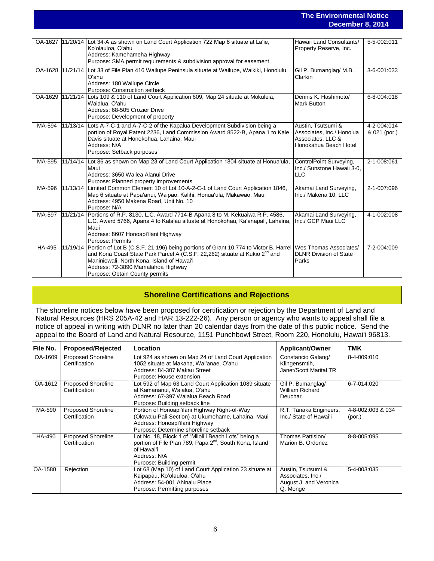## **The Environmental Notice December 8, 2014**

|         |                                                                                                                                                                                                                                                                                                                 | GUGHINGI U <sub>i</sub> LUT                                                                   |                             |
|---------|-----------------------------------------------------------------------------------------------------------------------------------------------------------------------------------------------------------------------------------------------------------------------------------------------------------------|-----------------------------------------------------------------------------------------------|-----------------------------|
|         |                                                                                                                                                                                                                                                                                                                 |                                                                                               |                             |
| OA-1627 | 11/20/14 Lot 34-A as shown on Land Court Application 722 Map 8 situate at La'ie,<br>Ko'olauloa, O'ahu<br>Address: Kamehameha Highway<br>Purpose: SMA permit requirements & subdivision approval for easement                                                                                                    | Hawaii Land Consultants/<br>Property Reserve, Inc.                                            | 5-5-002:011                 |
| OA-1628 | 11/21/14 Lot 33 of File Plan 416 Wailupe Peninsula situate at Wailupe, Waikiki, Honolulu,<br>O'ahu<br>Address: 180 Wailupe Circle<br>Purpose: Construction setback                                                                                                                                              | Gil P. Bumanglag/M.B.<br>Clarkin                                                              | 3-6-001:033                 |
| OA-1629 | 11/21/14 Lots 109 & 110 of Land Court Application 609, Map 24 situate at Mokuleia,<br>Waialua, O'ahu<br>Address: 68-505 Crozier Drive<br>Purpose: Development of property                                                                                                                                       | Dennis K. Hashimoto/<br><b>Mark Button</b>                                                    | 6-8-004:018                 |
| MA-594  | 11/13/14 Lots A-7-C-1 and A-7-C-2 of the Kapalua Development Subdivision being a<br>portion of Royal Patent 2236, Land Commission Award 8522-B, Apana 1 to Kale<br>Davis situate at Honokohua, Lahaina, Maui<br>Address: N/A<br>Purpose: Setback purposes                                                       | Austin, Tsutsumi &<br>Associates, Inc./ Honolua<br>Associates, LLC &<br>Honokahua Beach Hotel | 4-2-004:014<br>& 021 (por.) |
| MA-595  | 11/14/14 Lot 86 as shown on Map 23 of Land Court Application 1804 situate at Honua'ula,<br>Maui<br>Address: 3650 Wailea Alanui Drive<br>Purpose: Planned property improvements                                                                                                                                  | ControlPoint Surveying,<br>Inc./ Sunstone Hawaii 3-0.<br><b>LLC</b>                           | 2-1-008:061                 |
| MA-596  | 11/13/14 Limited Common Element 10 of Lot 10-A-2-C-1 of Land Court Application 1846,<br>Map 6 situate at Papa'anui, Waipao, Kalihi, Honua'ula, Makawao, Maui<br>Address: 4950 Makena Road, Unit No. 10<br>Purpose: N/A                                                                                          | Akamai Land Surveying,<br>Inc./ Makena 10, LLC                                                | 2-1-007:096                 |
| MA-597  | 11/21/14   Portions of R.P. 8130, L.C. Award 7714-B Apana 8 to M. Kekuaiwa R.P. 4586,<br>L.C. Award 5766, Apana 4 to Kalalau situate at Honokohau, Ka'anapali, Lahaina,<br>Maui<br>Address: 8607 Honoapi'ilani Highway<br><b>Purpose: Permits</b>                                                               | Akamai Land Surveying,<br>Inc./ GCP Maui LLC                                                  | 4-1-002:008                 |
| HA-495  | 11/19/14   Portion of Lot B (C.S.F. 21,196) being portions of Grant 10,774 to Victor B. Harrel<br>and Kona Coast State Park Parcel A (C.S.F. 22,262) situate at Kukio 2 <sup>nd</sup> and<br>Maniniowali, North Kona, Island of Hawai'i<br>Address: 72-3890 Mamalahoa Highway<br>Purpose: Obtain County permits | Wes Thomas Associates/<br><b>DLNR Division of State</b><br>Parks                              | 7-2-004:009                 |

## **Shoreline Certifications and Rejections**

The shoreline notices below have been proposed for certification or rejection by the Department of Land and Natural Resources (HRS 205A-42 and HAR 13-222-26). Any person or agency who wants to appeal shall file a notice of appeal in writing with DLNR no later than 20 calendar days from the date of this public notice. Send the appeal to the Board of Land and Natural Resource, 1151 Punchbowl Street, Room 220, Honolulu, Hawai'i 96813.

| File No. | <b>Proposed/Rejected</b>                   | Location                                                                                                                                                                              | <b>Applicant/Owner</b>                                                        | TMK                         |
|----------|--------------------------------------------|---------------------------------------------------------------------------------------------------------------------------------------------------------------------------------------|-------------------------------------------------------------------------------|-----------------------------|
| OA-1609  | Proposed Shoreline<br>Certification        | Lot 924 as shown on Map 24 of Land Court Application<br>1052 situate at Makaha, Wai'anae, O'ahu<br>Address: 84-307 Makau Street<br>Purpose: House extension                           | Constancio Galang/<br>Klingensmtih,<br>Janet/Scott Marital TR                 | 8-4-009:010                 |
| OA-1612  | <b>Proposed Shoreline</b><br>Certification | Lot 592 of Map 63 Land Court Application 1089 situate<br>at Kamananui, Waialua, O'ahu<br>Address: 67-397 Waialua Beach Road<br>Purpose: Building setback line                         | Gil P. Bumanglag/<br>William Richard<br>Deuchar                               | 6-7-014:020                 |
| MA-590   | <b>Proposed Shoreline</b><br>Certification | Portion of Honoapi'ilani Highway Right-of-Way<br>(Olowalu-Pali Section) at Ukumehame, Lahaina, Maui<br>Address: Honoapi'ilani Highway<br>Purpose: Determine shoreline setback         | R.T. Tanaka Engineers,<br>Inc./ State of Hawai'i                              | 4-8-002:003 & 034<br>(por.) |
| HA-490   | <b>Proposed Shoreline</b><br>Certification | Lot No. 18, Block 1 of "Miloli'i Beach Lots" being a<br>portion of File Plan 789, Papa 2 <sup>nd</sup> , South Kona, Island<br>of Hawai'i<br>Address: N/A<br>Purpose: Building permit | Thomas Pattision/<br>Marion B. Ordonez                                        | 8-8-005:095                 |
| OA-1580  | Rejection                                  | Lot 68 (Map 10) of Land Court Application 23 situate at<br>Kaipapau, Ko'olauloa, O'ahu<br>Address: 54-001 Ahinalu Place<br>Purpose: Permitting purposes                               | Austin, Tsutsumi &<br>Associates, Inc./<br>August J. and Veronica<br>Q. Monge | 5-4-003:035                 |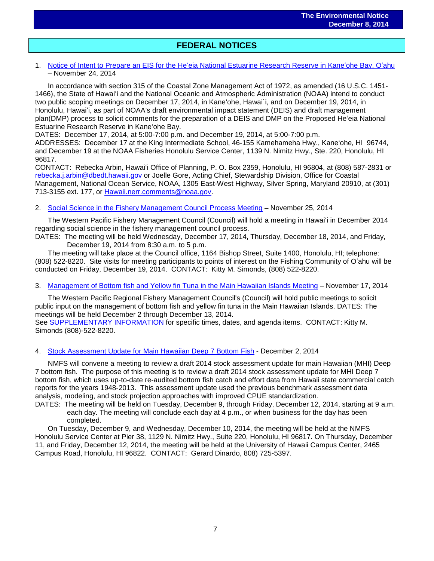## $\overline{a}$ **FEDERAL NOTICES**

#### 1. Notice of Intent to Prepare an EIS for the Heʻ[eia National Estuarine Research Reserve in Kane](http://www.gpo.gov/fdsys/search/pagedetails.action?sr=1&originalSearch=&st=collection%3AFR+and+content%3Ahawaii+and+publishdate%3Arange%282014-11-15%2C%29&ps=10&na=&se=&sb=re&timeFrame=&dateBrowse=&govAuthBrowse=&collection=&historical=true&granuleId=2014-27729&packageId=FR-2014-11-24)ʻohe Bay, Oʻahu – November 24, 2014

In accordance with section 315 of the Coastal Zone Management Act of 1972, as amended (16 U.S.C. 1451- 1466), the State of Hawaiʻi and the National Oceanic and Atmospheric Administration (NOAA) intend to conduct two public scoping meetings on December 17, 2014, in Kaneʻohe, Hawai`i, and on December 19, 2014, in Honolulu, Hawaiʻi, as part of NOAA's draft environmental impact statement (DEIS) and draft management plan(DMP) process to solicit comments for the preparation of a DEIS and DMP on the Proposed Heʻeia National Estuarine Research Reserve in Kaneʻohe Bay.

DATES: December 17, 2014, at 5:00-7:00 p.m. and December 19, 2014, at 5:00-7:00 p.m.

ADDRESSES: December 17 at the King Intermediate School, 46-155 Kamehameha Hwy., Kaneʻohe, HI 96744, and December 19 at the NOAA Fisheries Honolulu Service Center, 1139 N. Nimitz Hwy., Ste. 220, Honolulu, HI 96817.

CONTACT: Rebecka Arbin, Hawaiʻi Office of Planning, P. O. Box 2359, Honolulu, HI 96804, at (808) 587-2831 or [rebecka.j.arbin@dbedt.hawaii.gov](mailto:rebecka.j.arbin@dbedt.hawaii.gov) or Joelle Gore, Acting Chief, Stewardship Division, Office for Coastal Management, National Ocean Service, NOAA, 1305 East-West Highway, Silver Spring, Maryland 20910, at (301) 713-3155 ext. 177, or [Hawaii.nerr.comments@noaa.gov.](mailto:Hawaii.nerr.comments@noaa.gov)

#### 2. Social Science in the [Fishery Management Council Process Meeting](http://www.gpo.gov/fdsys/pkg/FR-2014-11-25/pdf/2014-27769.pdf) – November 25, 2014

The Western Pacific Fishery Management Council (Council) will hold a meeting in Hawaiʻi in December 2014 regarding social science in the fishery management council process.

DATES: The meeting will be held Wednesday, December 17, 2014, Thursday, December 18, 2014, and Friday, December 19, 2014 from 8:30 a.m. to 5 p.m.

The meeting will take place at the Council office, 1164 Bishop Street, Suite 1400, Honolulu, HI; telephone: (808) 522-8220. Site visits for meeting participants to points of interest on the Fishing Community of Oʻahu will be conducted on Friday, December 19, 2014. CONTACT: Kitty M. Simonds, (808) 522-8220.

#### 3. [Management of Bottom fish and Yellow fin Tuna in the Main Hawaiian Islands Meeting](http://www.gpo.gov/fdsys/pkg/FR-2014-11-17/pdf/2014-27120.pdf) – November 17, 2014

The Western Pacific Regional Fishery Management Council's (Council) will hold public meetings to solicit public input on the management of bottom fish and yellow fin tuna in the Main Hawaiian Islands. DATES: The meetings will be held December 2 through December 13, 2014.

See [SUPPLEMENTARY INFORMATION](http://www.gpo.gov/fdsys/pkg/FR-2014-11-17/pdf/2014-27120.pdf) for specific times, dates, and agenda items. CONTACT: Kitty M. Simonds (808)-522-8220.

#### 4. [Stock Assessment Update for Main Hawaiian Deep 7 Bottom Fish](http://www.gpo.gov/fdsys/pkg/FR-2014-12-02/pdf/2014-28447.pdf) - December 2, 2014

NMFS will convene a meeting to review a draft 2014 stock assessment update for main Hawaiian (MHI) Deep 7 bottom fish. The purpose of this meeting is to review a draft 2014 stock assessment update for MHI Deep 7 bottom fish, which uses up-to-date re-audited bottom fish catch and effort data from Hawaii state commercial catch reports for the years 1948-2013. This assessment update used the previous benchmark assessment data analysis, modeling, and stock projection approaches with improved CPUE standardization.

DATES: The meeting will be held on Tuesday, December 9, through Friday, December 12, 2014, starting at 9 a.m. each day. The meeting will conclude each day at 4 p.m., or when business for the day has been completed.

On Tuesday, December 9, and Wednesday, December 10, 2014, the meeting will be held at the NMFS Honolulu Service Center at Pier 38, 1129 N. Nimitz Hwy., Suite 220, Honolulu, HI 96817. On Thursday, December 11, and Friday, December 12, 2014, the meeting will be held at the University of Hawaii Campus Center, 2465 Campus Road, Honolulu, HI 96822. CONTACT: Gerard Dinardo, 808) 725-5397.